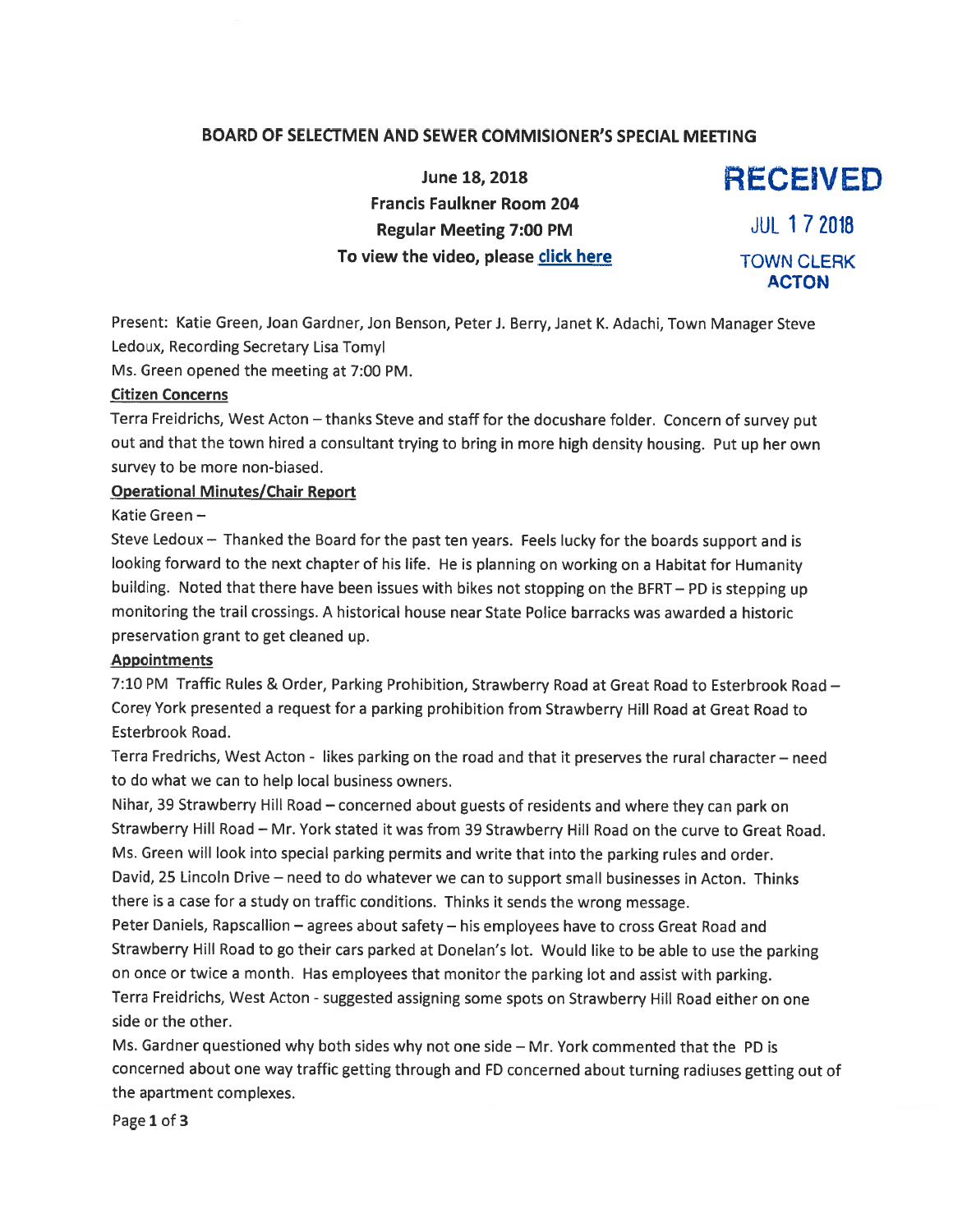### BOARD OF SELECTMEN AND SEWER COMMISIONER'S SPECIAL MEETING

June 18, 2018 **RECEIVED** Francis Faulkner Room 204 Regular Meeting 7:00 PM JUL 1 7 2018 To view the video, please click here TOWN CLERK

ACTON

Present: Katie Green, Joan Gardner, Jon Benson, Peter J. Berry, Janet K. Adachi, Town Manager Steve Ledoux, Recording Secretary Lisa Tomyl

Ms. Green opened the meeting at 7:00 PM.

#### Citizen Concerns

Terra Freidrichs, West Acton — thanks Steve and staff for the docushare folder. Concern of survey pu<sup>t</sup> out and that the town hired <sup>a</sup> consultant trying to bring in more high density housing. Put up her own survey to be more non-biased.

#### Operational Minutes/Chair Report

Katie Green —

Steve Ledoux — Thanked the Board for the pas<sup>t</sup> ten years. Feels lucky for the boards suppor<sup>t</sup> and is looking forward to the next chapter of his life. He is <sup>p</sup>lanning on working on <sup>a</sup> Habitat for Humanity building. Noted that there have been issues with bikes not stopping on the BERT— PD is stepping up monitoring the trail crossings. A historical house near State Police barracks was awarded <sup>a</sup> historic preservation gran<sup>t</sup> to ge<sup>t</sup> cleaned up.

#### Appointments

7:10 PM Traffic Rules & Order, Parking Prohibition, Strawberry Road at Great Road to Esterbrook Road — Corey York presented <sup>a</sup> reques<sup>t</sup> for <sup>a</sup> parking prohibition from Strawberry Hill Road at Great Road to Esterbrook Road.

Terra Fredrichs, West Acton - likes parking on the road and that it preserves the rural character — need to do what we can to help local business owners.

Nihar, <sup>39</sup> Strawberry Hill Road — concerned about guests of residents and where they can par<sup>k</sup> on Strawberry Hill Road — Mr. York stated it was from <sup>39</sup> Strawberry Hill Road on the curve to Great Road. Ms. Green will look into special parking permits and write that into the parking rules and order. David, 25 Lincoln Drive — need to do whatever we can to suppor<sup>t</sup> small businesses in Acton. Thinks there is <sup>a</sup> case for <sup>a</sup> study on traffic conditions. Thinks it sends the wrong message.

Peter Daniels, Rapscallion — agrees about safety — his employees have to cross Great Road and Strawberry Hill Road to go their cars parked at Donelan's lot. Would like to be able to use the parking on once or twice <sup>a</sup> month. Has employees that monitor the parking lot and assist with parking. Terra Freidrichs, West Acton -suggested assigning some spots on Strawberry Hill Road either on one side or the other.

Ms. Gardner questioned why both sides why not one side — Mr. York commented that the PD is concerned about one way traffic getting through and ED concerned about turning radiuses getting out of the apartment complexes.

Page 1 of 3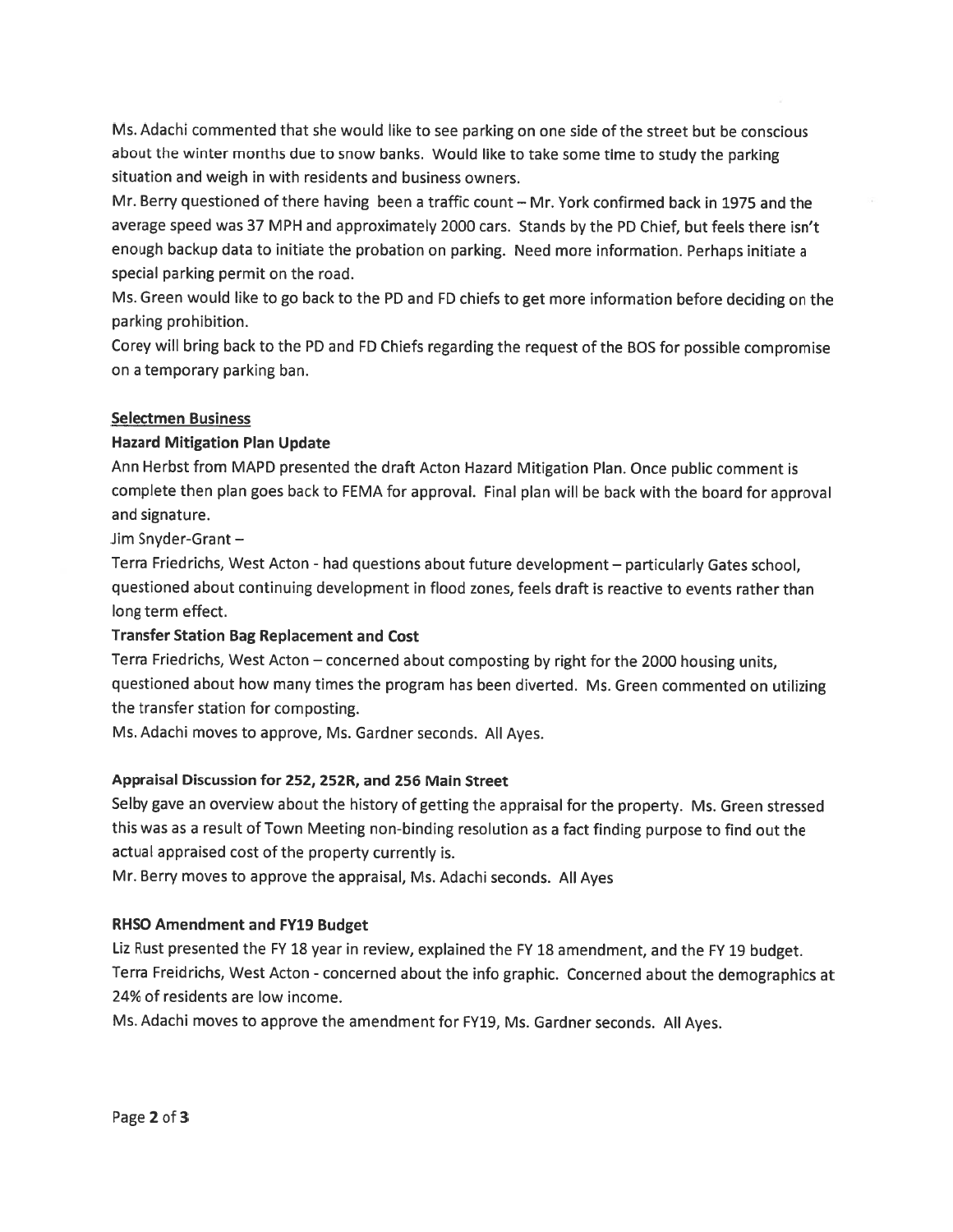Ms. Adachi commented that she would like to see parking on one side of the street but be conscious about the winter months due to snow banks. Would like to take some time to study the parking situation and weigh in with residents and business owners.

Mr. Berry questioned of there having been <sup>a</sup> traffic count — Mr. York confirmed back in 1975 and the average spee<sup>d</sup> was <sup>37</sup> MPH and approximately <sup>2000</sup> cars. Stands by the PD Chief, but feels there isn't enoug<sup>h</sup> backup data to initiate the probation on parking. Need more information. Perhaps initiate <sup>a</sup> special parking permit on the road.

Ms. Green would like to go back to the PD and FD chiefs to ge<sup>t</sup> more information before deciding on the parking prohibition.

Corey will bring back to the PD and FD Chiefs regarding the reques<sup>t</sup> of the BOS for possible compromise on <sup>a</sup> temporary parking ban.

### Selectmen Business

# Hazard Mitigation Plan Update

Ann Herbst from MAPD presented the draft Acton Hazard Mitigation Plan. Once public comment is complete then <sup>p</sup>lan goes back to FEMA for approval. Final <sup>p</sup>lan will be back with the board for approva<sup>l</sup> and signature.

Jim Snyder-Grant —

Terra Friedrichs, West Acton - had questions about future development — particularly Gates school, questioned about continuing development in flood zones, feels draft is reactive to events rather than long term effect.

# Transfer Station Bag Replacement and Cost

Terra Friedrichs, West Acton — concerned about composting by right for the <sup>2000</sup> housing units, questioned about how many times the program has been diverted. Ms. Green commented on utilizing the transfer station for composting.

Ms. Adachi moves to approve, Ms. Gardner seconds. All Ayes.

# Appraisal Discussion for 252, 252R, and 256 Main Street

Selby gave an overview about the history of getting the appraisal for the property. Ms. Green stressed this was as <sup>a</sup> result of Town Meeting non-binding resolution as <sup>a</sup> fact finding purpose to find out the actual appraised cost of the property currently is.

Mr. Berry moves to approve the appraisal, Ms. Adachi seconds. All Ayes

# RHSO Amendment and FY19 Budget

Liz Rust presented the FY <sup>18</sup> year in review, explained the FY <sup>18</sup> amendment, and the FY <sup>19</sup> budget. Terra Freidrichs, West Acton - concerned about the info graphic. Concerned about the demographics at 24% of residents are low income.

Ms. Adachi moves to approve the amendment for FY19, Ms. Gardner seconds. All Ayes.